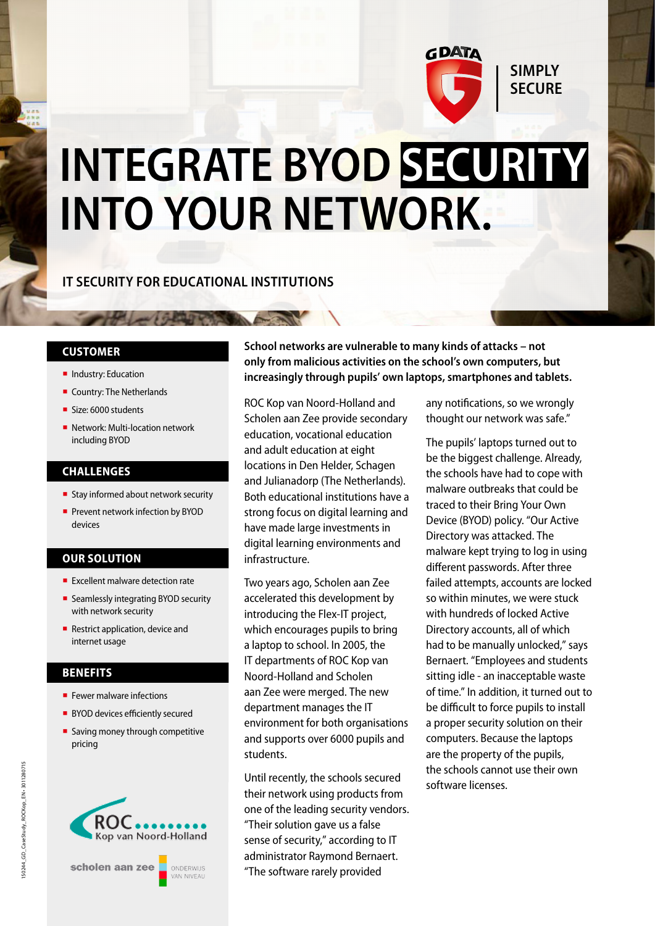

# **INTEGRATE BYOD SECURITY INTO YOUR NETWORK.**

### **IT SECURITY FOR EDUCATIONAL INSTITUTIONS**

### **CUSTOMER**

- **·** Industry: Education
- Country: The Netherlands
- Size: 6000 students
- Network: Multi-location network including BYOD

#### **CHALLENGES**

- Stay informed about network security
- **Prevent network infection by BYOD** devices

### **OUR SOLUTION**

- Excellent malware detection rate
- Seamlessly integrating BYOD security with network security
- Restrict application, device and internet usage

### **BENEFITS**

- **F** Fewer malware infections
- BYOD devices efficiently secured
- $\blacksquare$  Saving money through competitive pricing





**School networks are vulnerable to many kinds of attacks – not only from malicious activities on the school's own computers, but increasingly through pupils' own laptops, smartphones and tablets.** 

ROC Kop van Noord-Holland and Scholen aan Zee provide secondary education, vocational education and adult education at eight locations in Den Helder, Schagen and Julianadorp (The Netherlands). Both educational institutions have a strong focus on digital learning and have made large investments in digital learning environments and infrastructure.

Two years ago, Scholen aan Zee accelerated this development by introducing the Flex-IT project, which encourages pupils to bring a laptop to school. In 2005, the IT departments of ROC Kop van Noord-Holland and Scholen aan Zee were merged. The new department manages the IT environment for both organisations and supports over 6000 pupils and students.

Until recently, the schools secured their network using products from one of the leading security vendors. "Their solution gave us a false sense of security," according to IT administrator Raymond Bernaert. "The software rarely provided

any notifications, so we wrongly thought our network was safe."

The pupils' laptops turned out to be the biggest challenge. Already, the schools have had to cope with malware outbreaks that could be traced to their Bring Your Own Device (BYOD) policy. "Our Active Directory was attacked. The malware kept trying to log in using different passwords. After three failed attempts, accounts are locked so within minutes, we were stuck with hundreds of locked Active Directory accounts, all of which had to be manually unlocked," says Bernaert. "Employees and students sitting idle - an inacceptable waste of time." In addition, it turned out to be difficult to force pupils to install a proper security solution on their computers. Because the laptops are the property of the pupils, the schools cannot use their own software licenses.